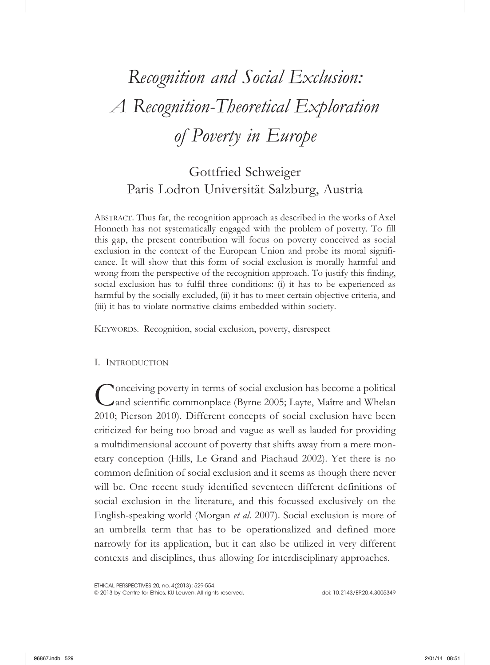# *Recognition and Social Exclusion: A Recognition-Theoretical Exploration of Poverty in Europe*

# Gottfried Schweiger Paris Lodron Universität Salzburg, Austria

ABSTRACT. Thus far, the recognition approach as described in the works of Axel Honneth has not systematically engaged with the problem of poverty. To fill this gap, the present contribution will focus on poverty conceived as social exclusion in the context of the European Union and probe its moral significance. It will show that this form of social exclusion is morally harmful and wrong from the perspective of the recognition approach. To justify this finding, social exclusion has to fulfil three conditions: (i) it has to be experienced as harmful by the socially excluded, (ii) it has to meet certain objective criteria, and (iii) it has to violate normative claims embedded within society.

KEYWORDS. Recognition, social exclusion, poverty, disrespect

# I. INTRODUCTION

Conceiving poverty in terms of social exclusion has become a political and scientific commonplace (Byrne 2005; Layte, Maître and Whelan 2010; Pierson 2010). Different concepts of social exclusion have been criticized for being too broad and vague as well as lauded for providing a multidimensional account of poverty that shifts away from a mere monetary conception (Hills, Le Grand and Piachaud 2002). Yet there is no common definition of social exclusion and it seems as though there never will be. One recent study identified seventeen different definitions of social exclusion in the literature, and this focussed exclusively on the English-speaking world (Morgan *et al*. 2007). Social exclusion is more of an umbrella term that has to be operationalized and defined more narrowly for its application, but it can also be utilized in very different contexts and disciplines, thus allowing for interdisciplinary approaches.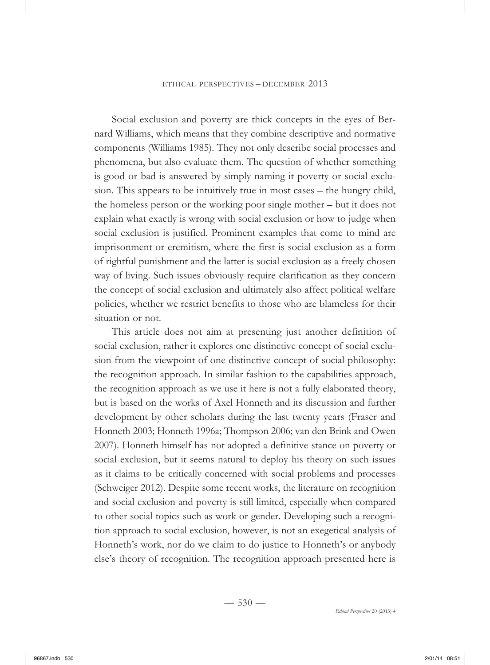Social exclusion and poverty are thick concepts in the eyes of Bernard Williams, which means that they combine descriptive and normative components (Williams 1985). They not only describe social processes and phenomena, but also evaluate them. The question of whether something is good or bad is answered by simply naming it poverty or social exclusion. This appears to be intuitively true in most cases – the hungry child, the homeless person or the working poor single mother – but it does not explain what exactly is wrong with social exclusion or how to judge when social exclusion is justified. Prominent examples that come to mind are imprisonment or eremitism, where the first is social exclusion as a form of rightful punishment and the latter is social exclusion as a freely chosen way of living. Such issues obviously require clarification as they concern the concept of social exclusion and ultimately also affect political welfare policies, whether we restrict benefits to those who are blameless for their situation or not.

This article does not aim at presenting just another definition of social exclusion, rather it explores one distinctive concept of social exclusion from the viewpoint of one distinctive concept of social philosophy: the recognition approach. In similar fashion to the capabilities approach, the recognition approach as we use it here is not a fully elaborated theory, but is based on the works of Axel Honneth and its discussion and further development by other scholars during the last twenty years (Fraser and Honneth 2003; Honneth 1996a; Thompson 2006; van den Brink and Owen 2007). Honneth himself has not adopted a definitive stance on poverty or social exclusion, but it seems natural to deploy his theory on such issues as it claims to be critically concerned with social problems and processes (Schweiger 2012). Despite some recent works, the literature on recognition and social exclusion and poverty is still limited, especially when compared to other social topics such as work or gender. Developing such a recognition approach to social exclusion, however, is not an exegetical analysis of Honneth's work, nor do we claim to do justice to Honneth's or anybody else's theory of recognition. The recognition approach presented here is

 $-530-$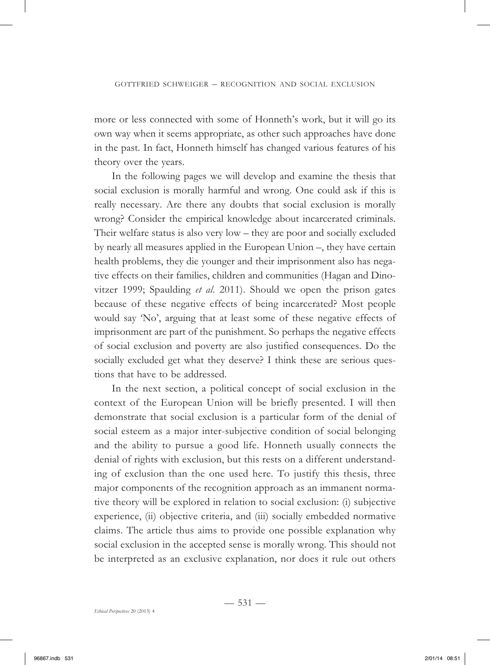more or less connected with some of Honneth's work, but it will go its own way when it seems appropriate, as other such approaches have done in the past. In fact, Honneth himself has changed various features of his theory over the years.

In the following pages we will develop and examine the thesis that social exclusion is morally harmful and wrong. One could ask if this is really necessary. Are there any doubts that social exclusion is morally wrong? Consider the empirical knowledge about incarcerated criminals. Their welfare status is also very low – they are poor and socially excluded by nearly all measures applied in the European Union –, they have certain health problems, they die younger and their imprisonment also has negative effects on their families, children and communities (Hagan and Dinovitzer 1999; Spaulding *et al*. 2011). Should we open the prison gates because of these negative effects of being incarcerated? Most people would say 'No', arguing that at least some of these negative effects of imprisonment are part of the punishment. So perhaps the negative effects of social exclusion and poverty are also justified consequences. Do the socially excluded get what they deserve? I think these are serious questions that have to be addressed.

In the next section, a political concept of social exclusion in the context of the European Union will be briefly presented. I will then demonstrate that social exclusion is a particular form of the denial of social esteem as a major inter-subjective condition of social belonging and the ability to pursue a good life. Honneth usually connects the denial of rights with exclusion, but this rests on a different understanding of exclusion than the one used here. To justify this thesis, three major components of the recognition approach as an immanent normative theory will be explored in relation to social exclusion: (i) subjective experience, (ii) objective criteria, and (iii) socially embedded normative claims. The article thus aims to provide one possible explanation why social exclusion in the accepted sense is morally wrong. This should not be interpreted as an exclusive explanation, nor does it rule out others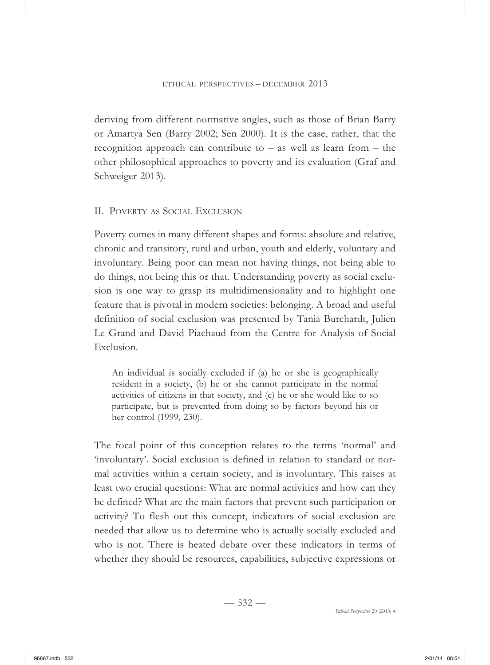deriving from different normative angles, such as those of Brian Barry or Amartya Sen (Barry 2002; Sen 2000). It is the case, rather, that the recognition approach can contribute to – as well as learn from – the other philosophical approaches to poverty and its evaluation (Graf and Schweiger 2013).

# II. POVERTY AS SOCIAL EXCLUSION

Poverty comes in many different shapes and forms: absolute and relative, chronic and transitory, rural and urban, youth and elderly, voluntary and involuntary. Being poor can mean not having things, not being able to do things, not being this or that. Understanding poverty as social exclusion is one way to grasp its multidimensionality and to highlight one feature that is pivotal in modern societies: belonging. A broad and useful definition of social exclusion was presented by Tania Burchardt, Julien Le Grand and David Piachaud from the Centre for Analysis of Social Exclusion.

An individual is socially excluded if (a) he or she is geographically resident in a society, (b) he or she cannot participate in the normal activities of citizens in that society, and (c) he or she would like to so participate, but is prevented from doing so by factors beyond his or her control (1999, 230).

The focal point of this conception relates to the terms 'normal' and 'involuntary'. Social exclusion is defined in relation to standard or normal activities within a certain society, and is involuntary. This raises at least two crucial questions: What are normal activities and how can they be defined? What are the main factors that prevent such participation or activity? To flesh out this concept, indicators of social exclusion are needed that allow us to determine who is actually socially excluded and who is not. There is heated debate over these indicators in terms of whether they should be resources, capabilities, subjective expressions or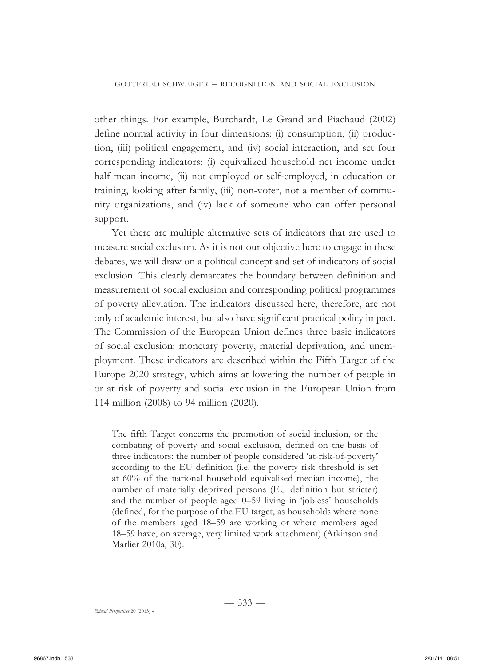other things. For example, Burchardt, Le Grand and Piachaud (2002) define normal activity in four dimensions: (i) consumption, (ii) production, (iii) political engagement, and (iv) social interaction, and set four corresponding indicators: (i) equivalized household net income under half mean income, (ii) not employed or self-employed, in education or training, looking after family, (iii) non-voter, not a member of community organizations, and (iv) lack of someone who can offer personal support.

Yet there are multiple alternative sets of indicators that are used to measure social exclusion. As it is not our objective here to engage in these debates, we will draw on a political concept and set of indicators of social exclusion. This clearly demarcates the boundary between definition and measurement of social exclusion and corresponding political programmes of poverty alleviation. The indicators discussed here, therefore, are not only of academic interest, but also have significant practical policy impact. The Commission of the European Union defines three basic indicators of social exclusion: monetary poverty, material deprivation, and unemployment. These indicators are described within the Fifth Target of the Europe 2020 strategy, which aims at lowering the number of people in or at risk of poverty and social exclusion in the European Union from 114 million (2008) to 94 million (2020).

The fifth Target concerns the promotion of social inclusion, or the combating of poverty and social exclusion, defined on the basis of three indicators: the number of people considered 'at-risk-of-poverty' according to the EU definition (i.e. the poverty risk threshold is set at 60% of the national household equivalised median income), the number of materially deprived persons (EU definition but stricter) and the number of people aged 0–59 living in 'jobless' households (defined, for the purpose of the EU target, as households where none of the members aged 18–59 are working or where members aged 18–59 have, on average, very limited work attachment) (Atkinson and Marlier 2010a, 30).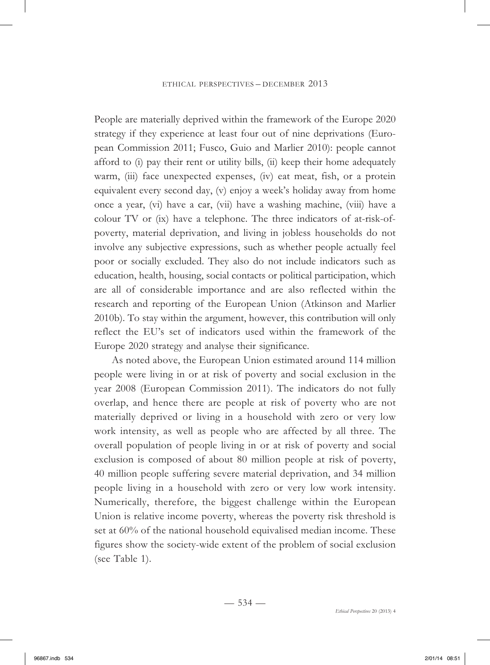People are materially deprived within the framework of the Europe 2020 strategy if they experience at least four out of nine deprivations (European Commission 2011; Fusco, Guio and Marlier 2010): people cannot afford to (i) pay their rent or utility bills, (ii) keep their home adequately warm, (iii) face unexpected expenses, (iv) eat meat, fish, or a protein equivalent every second day, (v) enjoy a week's holiday away from home once a year, (vi) have a car, (vii) have a washing machine, (viii) have a colour TV or (ix) have a telephone. The three indicators of at-risk-ofpoverty, material deprivation, and living in jobless households do not involve any subjective expressions, such as whether people actually feel poor or socially excluded. They also do not include indicators such as education, health, housing, social contacts or political participation, which are all of considerable importance and are also reflected within the research and reporting of the European Union (Atkinson and Marlier 2010b). To stay within the argument, however, this contribution will only reflect the EU's set of indicators used within the framework of the Europe 2020 strategy and analyse their significance.

As noted above, the European Union estimated around 114 million people were living in or at risk of poverty and social exclusion in the year 2008 (European Commission 2011). The indicators do not fully overlap, and hence there are people at risk of poverty who are not materially deprived or living in a household with zero or very low work intensity, as well as people who are affected by all three. The overall population of people living in or at risk of poverty and social exclusion is composed of about 80 million people at risk of poverty, 40 million people suffering severe material deprivation, and 34 million people living in a household with zero or very low work intensity. Numerically, therefore, the biggest challenge within the European Union is relative income poverty, whereas the poverty risk threshold is set at 60% of the national household equivalised median income. These figures show the society-wide extent of the problem of social exclusion (see Table 1).

 $-534-$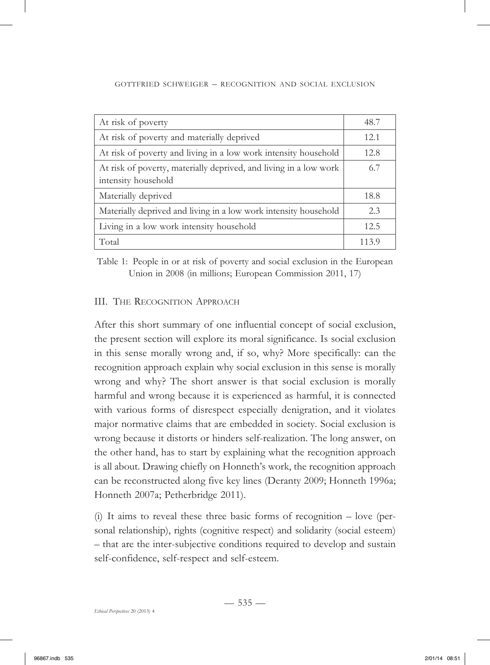| At risk of poverty                                                                       | 48.7  |
|------------------------------------------------------------------------------------------|-------|
| At risk of poverty and materially deprived                                               | 12.1  |
| At risk of poverty and living in a low work intensity household                          | 12.8  |
| At risk of poverty, materially deprived, and living in a low work<br>intensity household | 6.7   |
| Materially deprived                                                                      | 18.8  |
| Materially deprived and living in a low work intensity household                         | 2.3   |
| Living in a low work intensity household                                                 | 12.5  |
| Total                                                                                    | 113.9 |

Table 1: People in or at risk of poverty and social exclusion in the European Union in 2008 (in millions; European Commission 2011, 17)

# III. THE RECOGNITION APPROACH

After this short summary of one influential concept of social exclusion, the present section will explore its moral significance. Is social exclusion in this sense morally wrong and, if so, why? More specifically: can the recognition approach explain why social exclusion in this sense is morally wrong and why? The short answer is that social exclusion is morally harmful and wrong because it is experienced as harmful, it is connected with various forms of disrespect especially denigration, and it violates major normative claims that are embedded in society. Social exclusion is wrong because it distorts or hinders self-realization. The long answer, on the other hand, has to start by explaining what the recognition approach is all about. Drawing chiefly on Honneth's work, the recognition approach can be reconstructed along five key lines (Deranty 2009; Honneth 1996a; Honneth 2007a; Petherbridge 2011).

(i) It aims to reveal these three basic forms of recognition – love (personal relationship), rights (cognitive respect) and solidarity (social esteem) – that are the inter-subjective conditions required to develop and sustain self-confidence, self-respect and self-esteem.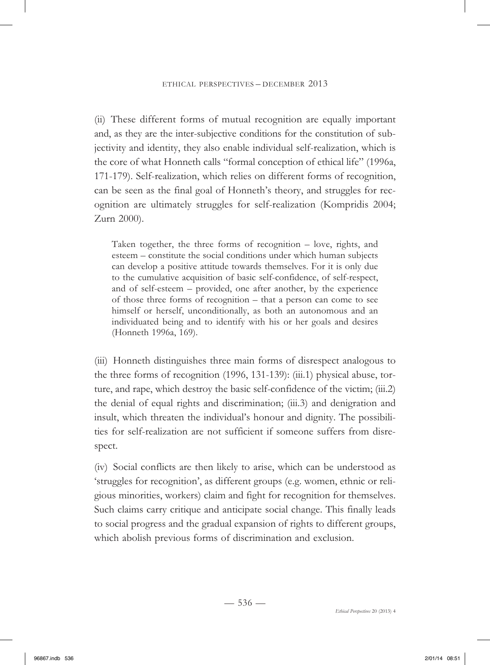(ii) These different forms of mutual recognition are equally important and, as they are the inter-subjective conditions for the constitution of subjectivity and identity, they also enable individual self-realization, which is the core of what Honneth calls "formal conception of ethical life" (1996a, 171-179). Self-realization, which relies on different forms of recognition, can be seen as the final goal of Honneth's theory, and struggles for recognition are ultimately struggles for self-realization (Kompridis 2004; Zurn 2000).

Taken together, the three forms of recognition – love, rights, and esteem – constitute the social conditions under which human subjects can develop a positive attitude towards themselves. For it is only due to the cumulative acquisition of basic self-confidence, of self-respect, and of self-esteem – provided, one after another, by the experience of those three forms of recognition – that a person can come to see himself or herself, unconditionally, as both an autonomous and an individuated being and to identify with his or her goals and desires (Honneth 1996a, 169).

(iii) Honneth distinguishes three main forms of disrespect analogous to the three forms of recognition (1996, 131-139): (iii.1) physical abuse, torture, and rape, which destroy the basic self-confidence of the victim; (iii.2) the denial of equal rights and discrimination; (iii.3) and denigration and insult, which threaten the individual's honour and dignity. The possibilities for self-realization are not sufficient if someone suffers from disrespect.

(iv) Social conflicts are then likely to arise, which can be understood as 'struggles for recognition', as different groups (e.g. women, ethnic or religious minorities, workers) claim and fight for recognition for themselves. Such claims carry critique and anticipate social change. This finally leads to social progress and the gradual expansion of rights to different groups, which abolish previous forms of discrimination and exclusion.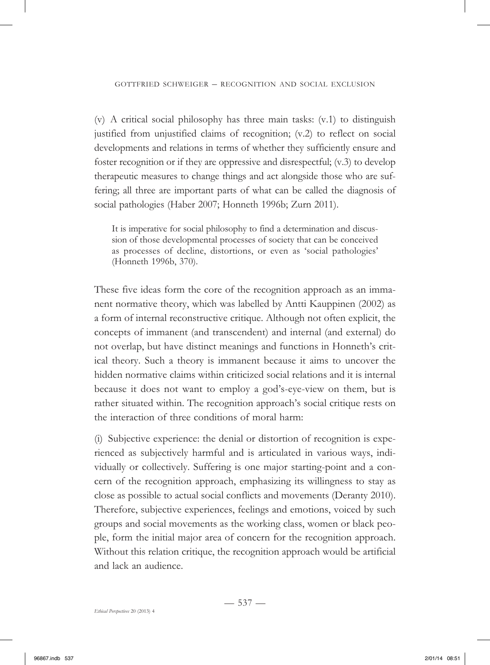(v) A critical social philosophy has three main tasks: (v.1) to distinguish justified from unjustified claims of recognition; (v.2) to reflect on social developments and relations in terms of whether they sufficiently ensure and foster recognition or if they are oppressive and disrespectful; (v.3) to develop therapeutic measures to change things and act alongside those who are suffering; all three are important parts of what can be called the diagnosis of social pathologies (Haber 2007; Honneth 1996b; Zurn 2011).

It is imperative for social philosophy to find a determination and discussion of those developmental processes of society that can be conceived as processes of decline, distortions, or even as 'social pathologies' (Honneth 1996b, 370).

These five ideas form the core of the recognition approach as an immanent normative theory, which was labelled by Antti Kauppinen (2002) as a form of internal reconstructive critique. Although not often explicit, the concepts of immanent (and transcendent) and internal (and external) do not overlap, but have distinct meanings and functions in Honneth's critical theory. Such a theory is immanent because it aims to uncover the hidden normative claims within criticized social relations and it is internal because it does not want to employ a god's-eye-view on them, but is rather situated within. The recognition approach's social critique rests on the interaction of three conditions of moral harm:

(i) Subjective experience: the denial or distortion of recognition is experienced as subjectively harmful and is articulated in various ways, individually or collectively. Suffering is one major starting-point and a concern of the recognition approach, emphasizing its willingness to stay as close as possible to actual social conflicts and movements (Deranty 2010). Therefore, subjective experiences, feelings and emotions, voiced by such groups and social movements as the working class, women or black people, form the initial major area of concern for the recognition approach. Without this relation critique, the recognition approach would be artificial and lack an audience.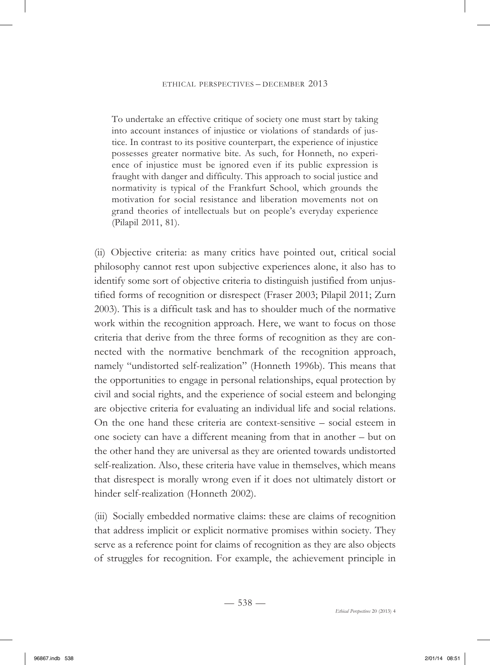To undertake an effective critique of society one must start by taking into account instances of injustice or violations of standards of justice. In contrast to its positive counterpart, the experience of injustice possesses greater normative bite. As such, for Honneth, no experience of injustice must be ignored even if its public expression is fraught with danger and difficulty. This approach to social justice and normativity is typical of the Frankfurt School, which grounds the motivation for social resistance and liberation movements not on grand theories of intellectuals but on people's everyday experience (Pilapil 2011, 81).

(ii) Objective criteria: as many critics have pointed out, critical social philosophy cannot rest upon subjective experiences alone, it also has to identify some sort of objective criteria to distinguish justified from unjustified forms of recognition or disrespect (Fraser 2003; Pilapil 2011; Zurn 2003). This is a difficult task and has to shoulder much of the normative work within the recognition approach. Here, we want to focus on those criteria that derive from the three forms of recognition as they are connected with the normative benchmark of the recognition approach, namely "undistorted self-realization" (Honneth 1996b). This means that the opportunities to engage in personal relationships, equal protection by civil and social rights, and the experience of social esteem and belonging are objective criteria for evaluating an individual life and social relations. On the one hand these criteria are context-sensitive – social esteem in one society can have a different meaning from that in another – but on the other hand they are universal as they are oriented towards undistorted self-realization. Also, these criteria have value in themselves, which means that disrespect is morally wrong even if it does not ultimately distort or hinder self-realization (Honneth 2002).

(iii) Socially embedded normative claims: these are claims of recognition that address implicit or explicit normative promises within society. They serve as a reference point for claims of recognition as they are also objects of struggles for recognition. For example, the achievement principle in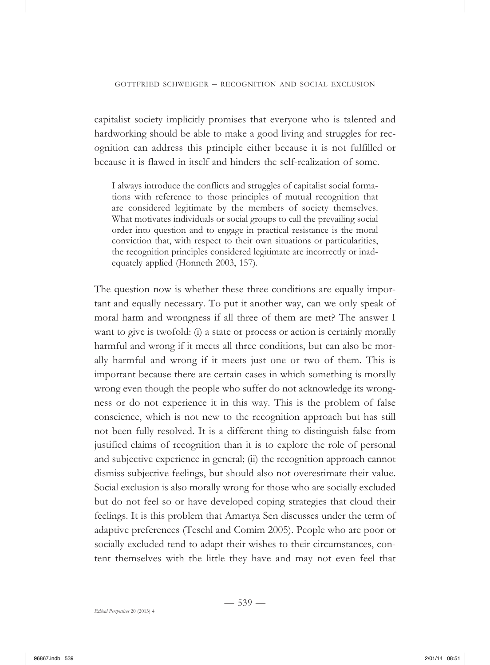capitalist society implicitly promises that everyone who is talented and hardworking should be able to make a good living and struggles for recognition can address this principle either because it is not fulfilled or because it is flawed in itself and hinders the self-realization of some.

I always introduce the conflicts and struggles of capitalist social formations with reference to those principles of mutual recognition that are considered legitimate by the members of society themselves. What motivates individuals or social groups to call the prevailing social order into question and to engage in practical resistance is the moral conviction that, with respect to their own situations or particularities, the recognition principles considered legitimate are incorrectly or inadequately applied (Honneth 2003, 157).

The question now is whether these three conditions are equally important and equally necessary. To put it another way, can we only speak of moral harm and wrongness if all three of them are met? The answer I want to give is twofold: (i) a state or process or action is certainly morally harmful and wrong if it meets all three conditions, but can also be morally harmful and wrong if it meets just one or two of them. This is important because there are certain cases in which something is morally wrong even though the people who suffer do not acknowledge its wrongness or do not experience it in this way. This is the problem of false conscience, which is not new to the recognition approach but has still not been fully resolved. It is a different thing to distinguish false from justified claims of recognition than it is to explore the role of personal and subjective experience in general; (ii) the recognition approach cannot dismiss subjective feelings, but should also not overestimate their value. Social exclusion is also morally wrong for those who are socially excluded but do not feel so or have developed coping strategies that cloud their feelings. It is this problem that Amartya Sen discusses under the term of adaptive preferences (Teschl and Comim 2005). People who are poor or socially excluded tend to adapt their wishes to their circumstances, content themselves with the little they have and may not even feel that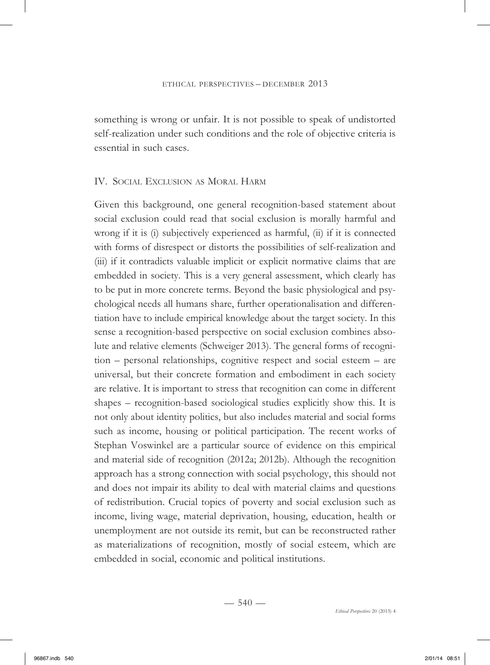something is wrong or unfair. It is not possible to speak of undistorted self-realization under such conditions and the role of objective criteria is essential in such cases.

#### IV. SOCIAL EXCLUSION AS MORAL HARM

Given this background, one general recognition-based statement about social exclusion could read that social exclusion is morally harmful and wrong if it is (i) subjectively experienced as harmful, (ii) if it is connected with forms of disrespect or distorts the possibilities of self-realization and (iii) if it contradicts valuable implicit or explicit normative claims that are embedded in society. This is a very general assessment, which clearly has to be put in more concrete terms. Beyond the basic physiological and psychological needs all humans share, further operationalisation and differentiation have to include empirical knowledge about the target society. In this sense a recognition-based perspective on social exclusion combines absolute and relative elements (Schweiger 2013). The general forms of recognition – personal relationships, cognitive respect and social esteem – are universal, but their concrete formation and embodiment in each society are relative. It is important to stress that recognition can come in different shapes – recognition-based sociological studies explicitly show this. It is not only about identity politics, but also includes material and social forms such as income, housing or political participation. The recent works of Stephan Voswinkel are a particular source of evidence on this empirical and material side of recognition (2012a; 2012b). Although the recognition approach has a strong connection with social psychology, this should not and does not impair its ability to deal with material claims and questions of redistribution. Crucial topics of poverty and social exclusion such as income, living wage, material deprivation, housing, education, health or unemployment are not outside its remit, but can be reconstructed rather as materializations of recognition, mostly of social esteem, which are embedded in social, economic and political institutions.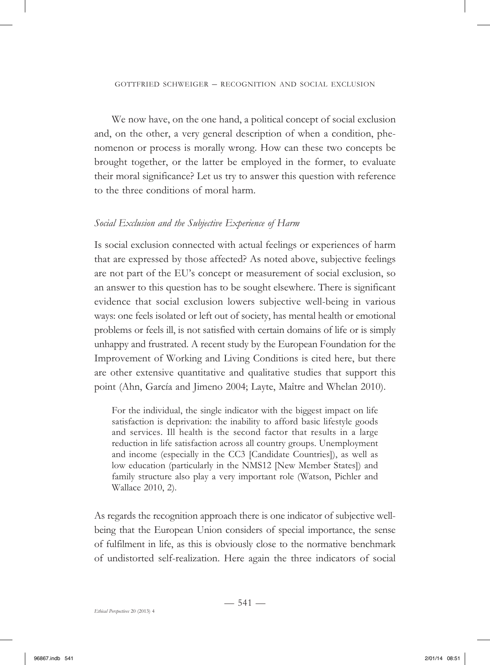We now have, on the one hand, a political concept of social exclusion and, on the other, a very general description of when a condition, phenomenon or process is morally wrong. How can these two concepts be brought together, or the latter be employed in the former, to evaluate their moral significance? Let us try to answer this question with reference to the three conditions of moral harm.

# *Social Exclusion and the Subjective Experience of Harm*

Is social exclusion connected with actual feelings or experiences of harm that are expressed by those affected? As noted above, subjective feelings are not part of the EU's concept or measurement of social exclusion, so an answer to this question has to be sought elsewhere. There is significant evidence that social exclusion lowers subjective well-being in various ways: one feels isolated or left out of society, has mental health or emotional problems or feels ill, is not satisfied with certain domains of life or is simply unhappy and frustrated. A recent study by the European Foundation for the Improvement of Working and Living Conditions is cited here, but there are other extensive quantitative and qualitative studies that support this point (Ahn, García and Jimeno 2004; Layte, Maître and Whelan 2010).

For the individual, the single indicator with the biggest impact on life satisfaction is deprivation: the inability to afford basic lifestyle goods and services. Ill health is the second factor that results in a large reduction in life satisfaction across all country groups. Unemployment and income (especially in the CC3 [Candidate Countries]), as well as low education (particularly in the NMS12 [New Member States]) and family structure also play a very important role (Watson, Pichler and Wallace 2010, 2).

As regards the recognition approach there is one indicator of subjective wellbeing that the European Union considers of special importance, the sense of fulfilment in life, as this is obviously close to the normative benchmark of undistorted self-realization. Here again the three indicators of social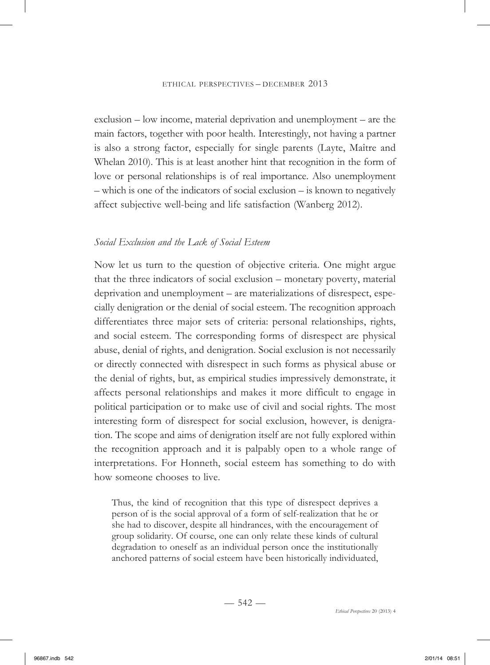exclusion – low income, material deprivation and unemployment – are the main factors, together with poor health. Interestingly, not having a partner is also a strong factor, especially for single parents (Layte, Maître and Whelan 2010). This is at least another hint that recognition in the form of love or personal relationships is of real importance. Also unemployment – which is one of the indicators of social exclusion – is known to negatively affect subjective well-being and life satisfaction (Wanberg 2012).

#### *Social Exclusion and the Lack of Social Esteem*

Now let us turn to the question of objective criteria. One might argue that the three indicators of social exclusion – monetary poverty, material deprivation and unemployment – are materializations of disrespect, especially denigration or the denial of social esteem. The recognition approach differentiates three major sets of criteria: personal relationships, rights, and social esteem. The corresponding forms of disrespect are physical abuse, denial of rights, and denigration. Social exclusion is not necessarily or directly connected with disrespect in such forms as physical abuse or the denial of rights, but, as empirical studies impressively demonstrate, it affects personal relationships and makes it more difficult to engage in political participation or to make use of civil and social rights. The most interesting form of disrespect for social exclusion, however, is denigration. The scope and aims of denigration itself are not fully explored within the recognition approach and it is palpably open to a whole range of interpretations. For Honneth, social esteem has something to do with how someone chooses to live.

Thus, the kind of recognition that this type of disrespect deprives a person of is the social approval of a form of self-realization that he or she had to discover, despite all hindrances, with the encouragement of group solidarity. Of course, one can only relate these kinds of cultural degradation to oneself as an individual person once the institutionally anchored patterns of social esteem have been historically individuated,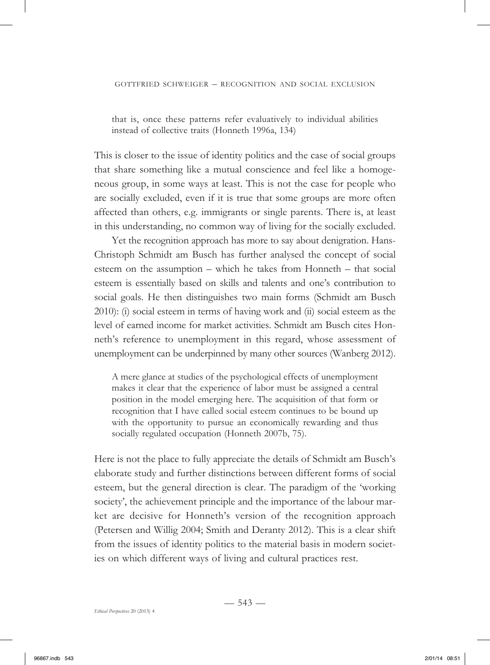that is, once these patterns refer evaluatively to individual abilities instead of collective traits (Honneth 1996a, 134)

This is closer to the issue of identity politics and the case of social groups that share something like a mutual conscience and feel like a homogeneous group, in some ways at least. This is not the case for people who are socially excluded, even if it is true that some groups are more often affected than others, e.g. immigrants or single parents. There is, at least in this understanding, no common way of living for the socially excluded.

Yet the recognition approach has more to say about denigration. Hans-Christoph Schmidt am Busch has further analysed the concept of social esteem on the assumption – which he takes from Honneth – that social esteem is essentially based on skills and talents and one's contribution to social goals. He then distinguishes two main forms (Schmidt am Busch 2010): (i) social esteem in terms of having work and (ii) social esteem as the level of earned income for market activities. Schmidt am Busch cites Honneth's reference to unemployment in this regard, whose assessment of unemployment can be underpinned by many other sources (Wanberg 2012).

A mere glance at studies of the psychological effects of unemployment makes it clear that the experience of labor must be assigned a central position in the model emerging here. The acquisition of that form or recognition that I have called social esteem continues to be bound up with the opportunity to pursue an economically rewarding and thus socially regulated occupation (Honneth 2007b, 75).

Here is not the place to fully appreciate the details of Schmidt am Busch's elaborate study and further distinctions between different forms of social esteem, but the general direction is clear. The paradigm of the 'working society', the achievement principle and the importance of the labour market are decisive for Honneth's version of the recognition approach (Petersen and Willig 2004; Smith and Deranty 2012). This is a clear shift from the issues of identity politics to the material basis in modern societies on which different ways of living and cultural practices rest.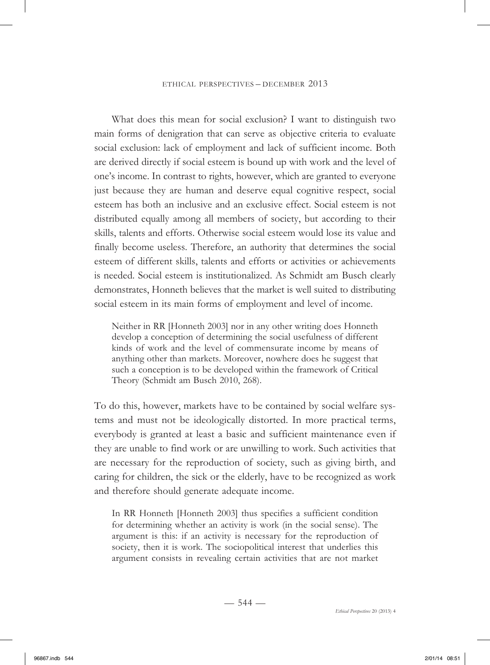What does this mean for social exclusion? I want to distinguish two main forms of denigration that can serve as objective criteria to evaluate social exclusion: lack of employment and lack of sufficient income. Both are derived directly if social esteem is bound up with work and the level of one's income. In contrast to rights, however, which are granted to everyone just because they are human and deserve equal cognitive respect, social esteem has both an inclusive and an exclusive effect. Social esteem is not distributed equally among all members of society, but according to their skills, talents and efforts. Otherwise social esteem would lose its value and finally become useless. Therefore, an authority that determines the social esteem of different skills, talents and efforts or activities or achievements is needed. Social esteem is institutionalized. As Schmidt am Busch clearly demonstrates, Honneth believes that the market is well suited to distributing social esteem in its main forms of employment and level of income.

Neither in RR [Honneth 2003] nor in any other writing does Honneth develop a conception of determining the social usefulness of different kinds of work and the level of commensurate income by means of anything other than markets. Moreover, nowhere does he suggest that such a conception is to be developed within the framework of Critical Theory (Schmidt am Busch 2010, 268).

To do this, however, markets have to be contained by social welfare systems and must not be ideologically distorted. In more practical terms, everybody is granted at least a basic and sufficient maintenance even if they are unable to find work or are unwilling to work. Such activities that are necessary for the reproduction of society, such as giving birth, and caring for children, the sick or the elderly, have to be recognized as work and therefore should generate adequate income.

In RR Honneth [Honneth 2003] thus specifies a sufficient condition for determining whether an activity is work (in the social sense). The argument is this: if an activity is necessary for the reproduction of society, then it is work. The sociopolitical interest that underlies this argument consists in revealing certain activities that are not market

 $-544-$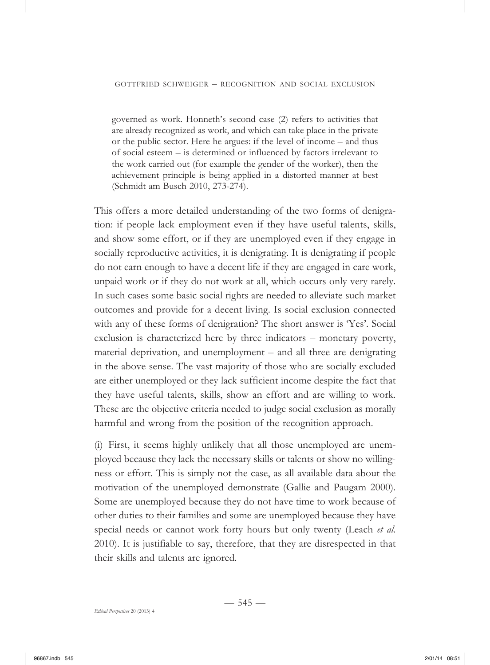governed as work. Honneth's second case (2) refers to activities that are already recognized as work, and which can take place in the private or the public sector. Here he argues: if the level of income – and thus of social esteem – is determined or influenced by factors irrelevant to the work carried out (for example the gender of the worker), then the achievement principle is being applied in a distorted manner at best (Schmidt am Busch 2010, 273-274).

This offers a more detailed understanding of the two forms of denigration: if people lack employment even if they have useful talents, skills, and show some effort, or if they are unemployed even if they engage in socially reproductive activities, it is denigrating. It is denigrating if people do not earn enough to have a decent life if they are engaged in care work, unpaid work or if they do not work at all, which occurs only very rarely. In such cases some basic social rights are needed to alleviate such market outcomes and provide for a decent living. Is social exclusion connected with any of these forms of denigration? The short answer is 'Yes'. Social exclusion is characterized here by three indicators – monetary poverty, material deprivation, and unemployment – and all three are denigrating in the above sense. The vast majority of those who are socially excluded are either unemployed or they lack sufficient income despite the fact that they have useful talents, skills, show an effort and are willing to work. These are the objective criteria needed to judge social exclusion as morally harmful and wrong from the position of the recognition approach.

(i) First, it seems highly unlikely that all those unemployed are unemployed because they lack the necessary skills or talents or show no willingness or effort. This is simply not the case, as all available data about the motivation of the unemployed demonstrate (Gallie and Paugam 2000). Some are unemployed because they do not have time to work because of other duties to their families and some are unemployed because they have special needs or cannot work forty hours but only twenty (Leach *et al*. 2010). It is justifiable to say, therefore, that they are disrespected in that their skills and talents are ignored.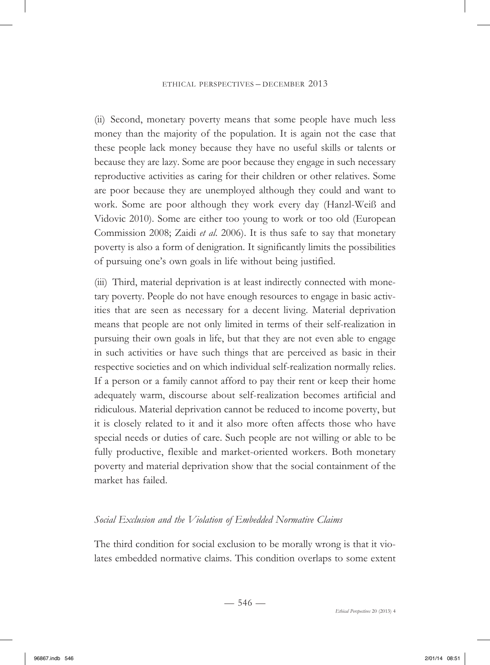(ii) Second, monetary poverty means that some people have much less money than the majority of the population. It is again not the case that these people lack money because they have no useful skills or talents or because they are lazy. Some are poor because they engage in such necessary reproductive activities as caring for their children or other relatives. Some are poor because they are unemployed although they could and want to work. Some are poor although they work every day (Hanzl-Weiß and Vidovic 2010). Some are either too young to work or too old (European Commission 2008; Zaidi *et al*. 2006). It is thus safe to say that monetary poverty is also a form of denigration. It significantly limits the possibilities of pursuing one's own goals in life without being justified.

(iii) Third, material deprivation is at least indirectly connected with monetary poverty. People do not have enough resources to engage in basic activities that are seen as necessary for a decent living. Material deprivation means that people are not only limited in terms of their self-realization in pursuing their own goals in life, but that they are not even able to engage in such activities or have such things that are perceived as basic in their respective societies and on which individual self-realization normally relies. If a person or a family cannot afford to pay their rent or keep their home adequately warm, discourse about self-realization becomes artificial and ridiculous. Material deprivation cannot be reduced to income poverty, but it is closely related to it and it also more often affects those who have special needs or duties of care. Such people are not willing or able to be fully productive, flexible and market-oriented workers. Both monetary poverty and material deprivation show that the social containment of the market has failed.

# *Social Exclusion and the Violation of Embedded Normative Claims*

The third condition for social exclusion to be morally wrong is that it violates embedded normative claims. This condition overlaps to some extent

 $-546-$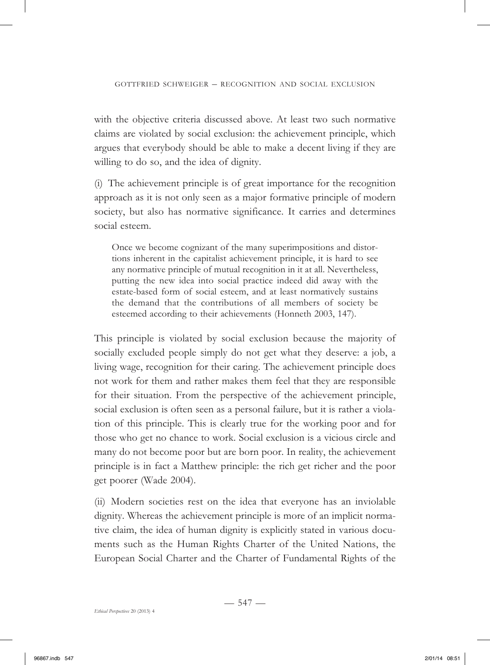with the objective criteria discussed above. At least two such normative claims are violated by social exclusion: the achievement principle, which argues that everybody should be able to make a decent living if they are willing to do so, and the idea of dignity.

(i) The achievement principle is of great importance for the recognition approach as it is not only seen as a major formative principle of modern society, but also has normative significance. It carries and determines social esteem.

Once we become cognizant of the many superimpositions and distortions inherent in the capitalist achievement principle, it is hard to see any normative principle of mutual recognition in it at all. Nevertheless, putting the new idea into social practice indeed did away with the estate-based form of social esteem, and at least normatively sustains the demand that the contributions of all members of society be esteemed according to their achievements (Honneth 2003, 147).

This principle is violated by social exclusion because the majority of socially excluded people simply do not get what they deserve: a job, a living wage, recognition for their caring. The achievement principle does not work for them and rather makes them feel that they are responsible for their situation. From the perspective of the achievement principle, social exclusion is often seen as a personal failure, but it is rather a violation of this principle. This is clearly true for the working poor and for those who get no chance to work. Social exclusion is a vicious circle and many do not become poor but are born poor. In reality, the achievement principle is in fact a Matthew principle: the rich get richer and the poor get poorer (Wade 2004).

(ii) Modern societies rest on the idea that everyone has an inviolable dignity. Whereas the achievement principle is more of an implicit normative claim, the idea of human dignity is explicitly stated in various documents such as the Human Rights Charter of the United Nations, the European Social Charter and the Charter of Fundamental Rights of the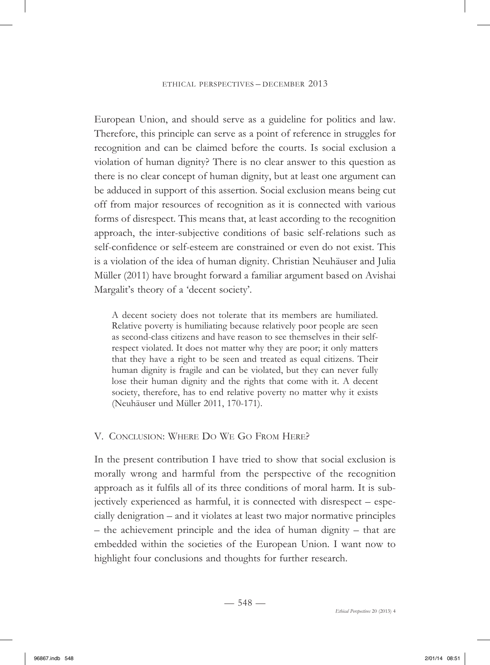European Union, and should serve as a guideline for politics and law. Therefore, this principle can serve as a point of reference in struggles for recognition and can be claimed before the courts. Is social exclusion a violation of human dignity? There is no clear answer to this question as there is no clear concept of human dignity, but at least one argument can be adduced in support of this assertion. Social exclusion means being cut off from major resources of recognition as it is connected with various forms of disrespect. This means that, at least according to the recognition approach, the inter-subjective conditions of basic self-relations such as self-confidence or self-esteem are constrained or even do not exist. This is a violation of the idea of human dignity. Christian Neuhäuser and Julia Müller (2011) have brought forward a familiar argument based on Avishai Margalit's theory of a 'decent society'.

A decent society does not tolerate that its members are humiliated. Relative poverty is humiliating because relatively poor people are seen as second-class citizens and have reason to see themselves in their selfrespect violated. It does not matter why they are poor; it only matters that they have a right to be seen and treated as equal citizens. Their human dignity is fragile and can be violated, but they can never fully lose their human dignity and the rights that come with it. A decent society, therefore, has to end relative poverty no matter why it exists (Neuhäuser und Müller 2011, 170-171).

# V. CONCLUSION: WHERE DO WE GO FROM HERE?

In the present contribution I have tried to show that social exclusion is morally wrong and harmful from the perspective of the recognition approach as it fulfils all of its three conditions of moral harm. It is subjectively experienced as harmful, it is connected with disrespect – especially denigration – and it violates at least two major normative principles – the achievement principle and the idea of human dignity – that are embedded within the societies of the European Union. I want now to highlight four conclusions and thoughts for further research.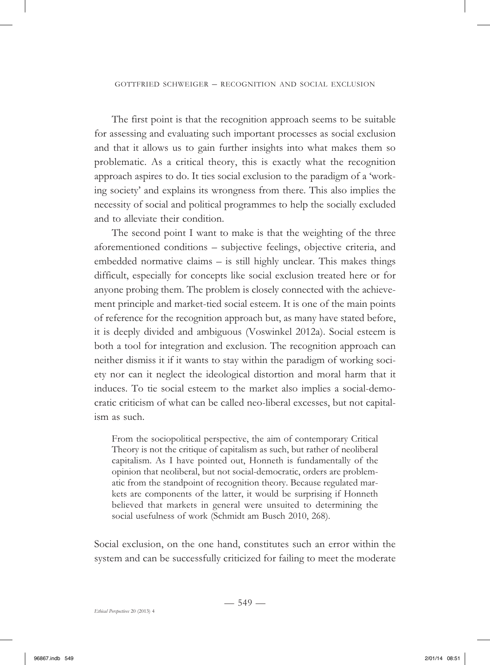The first point is that the recognition approach seems to be suitable for assessing and evaluating such important processes as social exclusion and that it allows us to gain further insights into what makes them so problematic. As a critical theory, this is exactly what the recognition approach aspires to do. It ties social exclusion to the paradigm of a 'working society' and explains its wrongness from there. This also implies the necessity of social and political programmes to help the socially excluded and to alleviate their condition.

The second point I want to make is that the weighting of the three aforementioned conditions – subjective feelings, objective criteria, and embedded normative claims – is still highly unclear. This makes things difficult, especially for concepts like social exclusion treated here or for anyone probing them. The problem is closely connected with the achievement principle and market-tied social esteem. It is one of the main points of reference for the recognition approach but, as many have stated before, it is deeply divided and ambiguous (Voswinkel 2012a). Social esteem is both a tool for integration and exclusion. The recognition approach can neither dismiss it if it wants to stay within the paradigm of working society nor can it neglect the ideological distortion and moral harm that it induces. To tie social esteem to the market also implies a social-democratic criticism of what can be called neo-liberal excesses, but not capitalism as such.

From the sociopolitical perspective, the aim of contemporary Critical Theory is not the critique of capitalism as such, but rather of neoliberal capitalism. As I have pointed out, Honneth is fundamentally of the opinion that neoliberal, but not social-democratic, orders are problematic from the standpoint of recognition theory. Because regulated markets are components of the latter, it would be surprising if Honneth believed that markets in general were unsuited to determining the social usefulness of work (Schmidt am Busch 2010, 268).

Social exclusion, on the one hand, constitutes such an error within the system and can be successfully criticized for failing to meet the moderate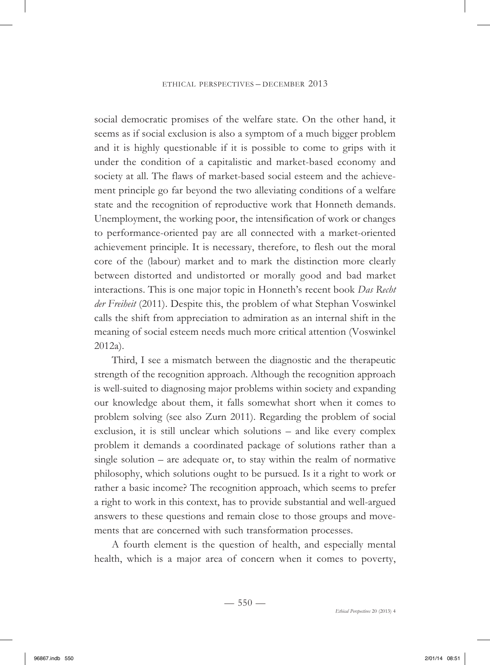social democratic promises of the welfare state. On the other hand, it seems as if social exclusion is also a symptom of a much bigger problem and it is highly questionable if it is possible to come to grips with it under the condition of a capitalistic and market-based economy and society at all. The flaws of market-based social esteem and the achievement principle go far beyond the two alleviating conditions of a welfare state and the recognition of reproductive work that Honneth demands. Unemployment, the working poor, the intensification of work or changes to performance-oriented pay are all connected with a market-oriented achievement principle. It is necessary, therefore, to flesh out the moral core of the (labour) market and to mark the distinction more clearly between distorted and undistorted or morally good and bad market interactions. This is one major topic in Honneth's recent book *Das Recht der Freiheit* (2011). Despite this, the problem of what Stephan Voswinkel calls the shift from appreciation to admiration as an internal shift in the meaning of social esteem needs much more critical attention (Voswinkel 2012a).

Third, I see a mismatch between the diagnostic and the therapeutic strength of the recognition approach. Although the recognition approach is well-suited to diagnosing major problems within society and expanding our knowledge about them, it falls somewhat short when it comes to problem solving (see also Zurn 2011). Regarding the problem of social exclusion, it is still unclear which solutions – and like every complex problem it demands a coordinated package of solutions rather than a single solution – are adequate or, to stay within the realm of normative philosophy, which solutions ought to be pursued. Is it a right to work or rather a basic income? The recognition approach, which seems to prefer a right to work in this context, has to provide substantial and well-argued answers to these questions and remain close to those groups and movements that are concerned with such transformation processes.

A fourth element is the question of health, and especially mental health, which is a major area of concern when it comes to poverty,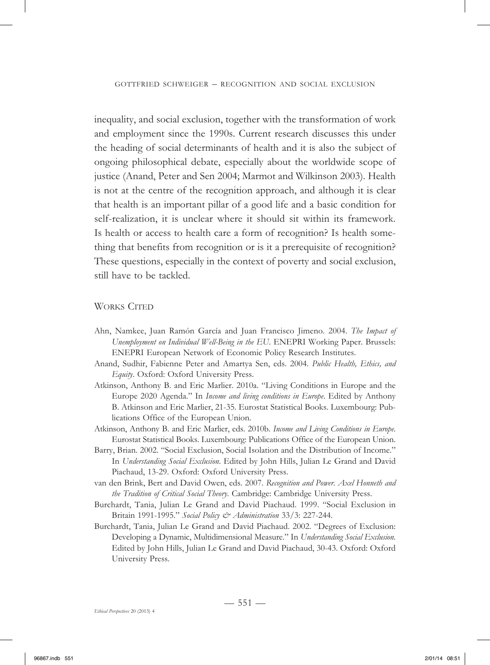inequality, and social exclusion, together with the transformation of work and employment since the 1990s. Current research discusses this under the heading of social determinants of health and it is also the subject of ongoing philosophical debate, especially about the worldwide scope of justice (Anand, Peter and Sen 2004; Marmot and Wilkinson 2003). Health is not at the centre of the recognition approach, and although it is clear that health is an important pillar of a good life and a basic condition for self-realization, it is unclear where it should sit within its framework. Is health or access to health care a form of recognition? Is health something that benefits from recognition or is it a prerequisite of recognition? These questions, especially in the context of poverty and social exclusion, still have to be tackled.

#### WORKS CITED

- Ahn, Namkee, Juan Ramón García and Juan Francisco Jimeno. 2004. *The Impact of Unemployment on Individual Well-Being in the EU*. ENEPRI Working Paper. Brussels: ENEPRI European Network of Economic Policy Research Institutes.
- Anand, Sudhir, Fabienne Peter and Amartya Sen, eds. 2004. *Public Health, Ethics, and Equity*. Oxford: Oxford University Press.
- Atkinson, Anthony B. and Eric Marlier. 2010a. "Living Conditions in Europe and the Europe 2020 Agenda." In *Income and living conditions in Europe*. Edited by Anthony B. Atkinson and Eric Marlier, 21-35. Eurostat Statistical Books. Luxembourg: Publications Office of the European Union.
- Atkinson, Anthony B. and Eric Marlier, eds. 2010b. *Income and Living Conditions in Europe*. Eurostat Statistical Books. Luxembourg: Publications Office of the European Union.
- Barry, Brian. 2002. "Social Exclusion, Social Isolation and the Distribution of Income." In *Understanding Social Exclusion*. Edited by John Hills, Julian Le Grand and David Piachaud, 13-29. Oxford: Oxford University Press.
- van den Brink, Bert and David Owen, eds. 2007. *Recognition and Power. Axel Honneth and the Tradition of Critical Social Theory*. Cambridge: Cambridge University Press.
- Burchardt, Tania, Julian Le Grand and David Piachaud. 1999. "Social Exclusion in Britain 1991-1995." *Social Policy & Administration* 33/3: 227-244.
- Burchardt, Tania, Julian Le Grand and David Piachaud. 2002. "Degrees of Exclusion: Developing a Dynamic, Multidimensional Measure." In *Understanding Social Exclusion*. Edited by John Hills, Julian Le Grand and David Piachaud, 30-43. Oxford: Oxford University Press.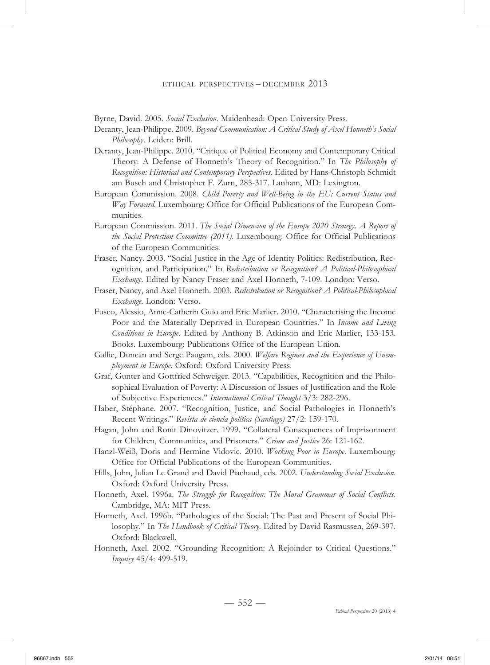Byrne, David. 2005. *Social Exclusion*. Maidenhead: Open University Press.

- Deranty, Jean-Philippe. 2009. *Beyond Communication: A Critical Study of Axel Honneth's Social Philosophy*. Leiden: Brill.
- Deranty, Jean-Philippe. 2010. "Critique of Political Economy and Contemporary Critical Theory: A Defense of Honneth's Theory of Recognition." In *The Philosophy of Recognition: Historical and Contemporary Perspectives*. Edited by Hans-Christoph Schmidt am Busch and Christopher F. Zurn, 285-317. Lanham, MD: Lexington.
- European Commission. 2008. *Child Poverty and Well-Being in the EU: Current Status and Way Forward*. Luxembourg: Office for Official Publications of the European Communities.
- European Commission. 2011. *The Social Dimension of the Europe 2020 Strategy. A Report of the Social Protection Committee (2011)*. Luxembourg: Office for Official Publications of the European Communities.
- Fraser, Nancy. 2003. "Social Justice in the Age of Identity Politics: Redistribution, Recognition, and Participation." In *Redistribution or Recognition? A Political-Philosophical Exchange*. Edited by Nancy Fraser and Axel Honneth, 7-109. London: Verso.
- Fraser, Nancy, and Axel Honneth. 2003. *Redistribution or Recognition? A Political-Philosophical Exchange*. London: Verso.
- Fusco, Alessio, Anne-Catherin Guio and Eric Marlier. 2010. "Characterising the Income Poor and the Materially Deprived in European Countries." In *Income and Living Conditions in Europe*. Edited by Anthony B. Atkinson and Eric Marlier, 133-153. Books. Luxembourg: Publications Office of the European Union.
- Gallie, Duncan and Serge Paugam, eds. 2000. *Welfare Regimes and the Experience of Unemployment in Europe*. Oxford: Oxford University Press.
- Graf, Gunter and Gottfried Schweiger. 2013. "Capabilities, Recognition and the Philosophical Evaluation of Poverty: A Discussion of Issues of Justification and the Role of Subjective Experiences." *International Critical Thought* 3/3: 282-296.
- Haber, Stéphane. 2007. "Recognition, Justice, and Social Pathologies in Honneth's Recent Writings." *Revista de ciencia política (Santiago)* 27/2: 159-170.
- Hagan, John and Ronit Dinovitzer. 1999. "Collateral Consequences of Imprisonment for Children, Communities, and Prisoners." *Crime and Justice* 26: 121-162.
- Hanzl-Weiß, Doris and Hermine Vidovic. 2010. *Working Poor in Europe*. Luxembourg: Office for Official Publications of the European Communities.
- Hills, John, Julian Le Grand and David Piachaud, eds. 2002. *Understanding Social Exclusion*. Oxford: Oxford University Press.
- Honneth, Axel. 1996a. *The Struggle for Recognition: The Moral Grammar of Social Conflicts*. Cambridge, MA: MIT Press.
- Honneth, Axel. 1996b. "Pathologies of the Social: The Past and Present of Social Philosophy." In *The Handbook of Critical Theory*. Edited by David Rasmussen, 269-397. Oxford: Blackwell.
- Honneth, Axel. 2002. "Grounding Recognition: A Rejoinder to Critical Questions." *Inquiry* 45/4: 499-519.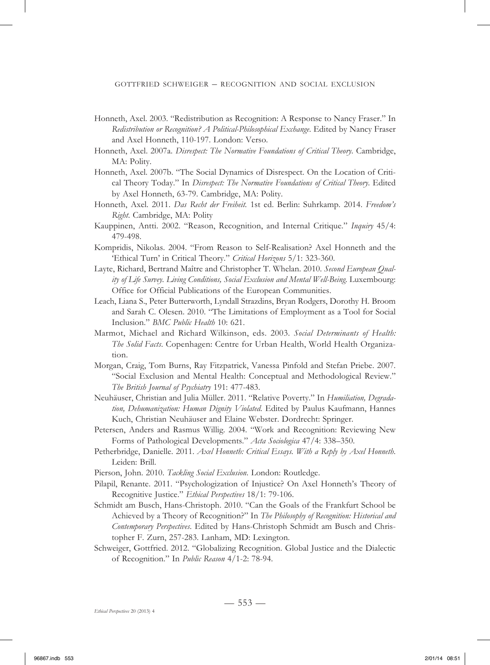- Honneth, Axel. 2003. "Redistribution as Recognition: A Response to Nancy Fraser." In *Redistribution or Recognition? A Political-Philosophical Exchange*. Edited by Nancy Fraser and Axel Honneth, 110-197. London: Verso.
- Honneth, Axel. 2007a. *Disrespect: The Normative Foundations of Critical Theory*. Cambridge, MA: Polity.
- Honneth, Axel. 2007b. "The Social Dynamics of Disrespect. On the Location of Critical Theory Today." In *Disrespect: The Normative Foundations of Critical Theory*. Edited by Axel Honneth, 63-79. Cambridge, MA: Polity.
- Honneth, Axel. 2011. *Das Recht der Freiheit.* 1st ed. Berlin: Suhrkamp. 2014. *Freedom's Right*. Cambridge, MA: Polity
- Kauppinen, Antti. 2002. "Reason, Recognition, and Internal Critique." *Inquiry* 45/4: 479-498.
- Kompridis, Nikolas. 2004. "From Reason to Self-Realisation? Axel Honneth and the 'Ethical Turn' in Critical Theory." *Critical Horizons* 5/1: 323-360.
- Layte, Richard, Bertrand Maître and Christopher T. Whelan. 2010. *Second European Quality of Life Survey. Living Conditions, Social Exclusion and Mental Well-Being*. Luxembourg: Office for Official Publications of the European Communities.
- Leach, Liana S., Peter Butterworth, Lyndall Strazdins, Bryan Rodgers, Dorothy H. Broom and Sarah C. Olesen. 2010. "The Limitations of Employment as a Tool for Social Inclusion." *BMC Public Health* 10: 621.
- Marmot, Michael and Richard Wilkinson, eds. 2003. *Social Determinants of Health: The Solid Facts*. Copenhagen: Centre for Urban Health, World Health Organization.
- Morgan, Craig, Tom Burns, Ray Fitzpatrick, Vanessa Pinfold and Stefan Priebe. 2007. "Social Exclusion and Mental Health: Conceptual and Methodological Review." *The British Journal of Psychiatry* 191: 477-483.
- Neuhäuser, Christian and Julia Müller. 2011. "Relative Poverty." In *Humiliation, Degradation, Dehumanization: Human Dignity Violated.* Edited by Paulus Kaufmann, Hannes Kuch, Christian Neuhäuser and Elaine Webster. Dordrecht: Springer.
- Petersen, Anders and Rasmus Willig. 2004. "Work and Recognition: Reviewing New Forms of Pathological Developments." *Acta Sociologica* 47/4: 338–350.
- Petherbridge, Danielle. 2011. *Axel Honneth: Critical Essays. With a Reply by Axel Honneth*. Leiden: Brill.
- Pierson, John. 2010. *Tackling Social Exclusion*. London: Routledge.
- Pilapil, Renante. 2011. "Psychologization of Injustice? On Axel Honneth's Theory of Recognitive Justice." *Ethical Perspectives* 18/1: 79-106.
- Schmidt am Busch, Hans-Christoph. 2010. "Can the Goals of the Frankfurt School be Achieved by a Theory of Recognition?" In *The Philosophy of Recognition: Historical and Contemporary Perspectives*. Edited by Hans-Christoph Schmidt am Busch and Christopher F. Zurn, 257-283. Lanham, MD: Lexington.
- Schweiger, Gottfried. 2012. "Globalizing Recognition. Global Justice and the Dialectic of Recognition." In *Public Reason* 4/1-2: 78-94.